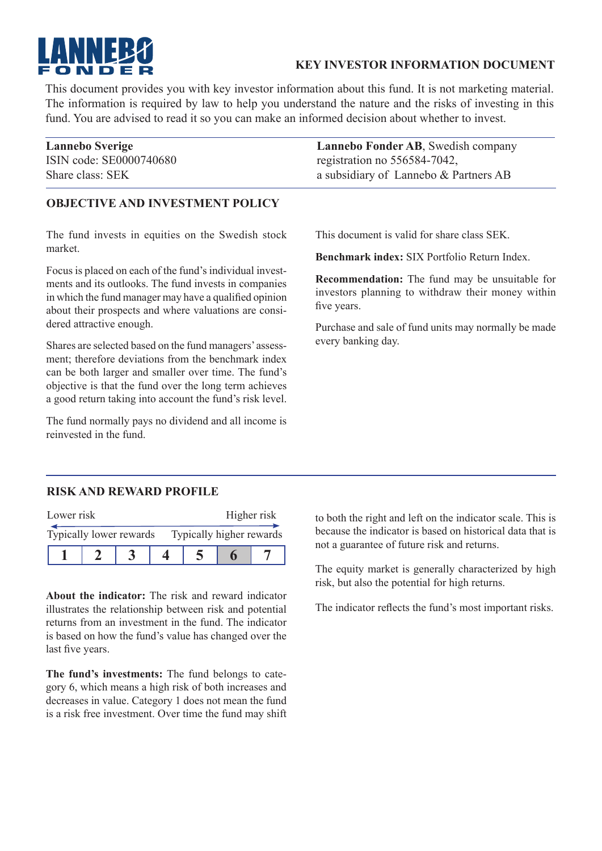

### **KEY INVESTOR INFORMATION DOCUMENT**

This document provides you with key investor information about this fund. It is not marketing material. The information is required by law to help you understand the nature and the risks of investing in this fund. You are advised to read it so you can make an informed decision about whether to invest.

| <b>Lannebo Sverige</b>  | <b>Lannebo Fonder AB, Swedish company</b> |
|-------------------------|-------------------------------------------|
| ISIN code: SE0000740680 | registration no 556584-7042,              |
| Share class: SEK        | a subsidiary of Lannebo & Partners AB     |

### **OBJECTIVE AND INVESTMENT POLICY**

The fund invests in equities on the Swedish stock market.

Focus is placed on each of the fund's individual investments and its outlooks. The fund invests in companies in which the fund manager may have a qualified opinion about their prospects and where valuations are considered attractive enough.

Shares are selected based on the fund managers' assessment; therefore deviations from the benchmark index can be both larger and smaller over time. The fund's objective is that the fund over the long term achieves a good return taking into account the fund's risk level.

The fund normally pays no dividend and all income is reinvested in the fund.

This document is valid for share class SEK.

**Benchmark index:** SIX Portfolio Return Index.

**Recommendation:** The fund may be unsuitable for investors planning to withdraw their money within five years.

Purchase and sale of fund units may normally be made every banking day.

#### **RISK AND REWARD PROFILE**

| Lower risk              |  |  | Higher risk              |  |  |  |
|-------------------------|--|--|--------------------------|--|--|--|
| Typically lower rewards |  |  | Typically higher rewards |  |  |  |
|                         |  |  |                          |  |  |  |

**About the indicator:** The risk and reward indicator illustrates the relationship between risk and potential returns from an investment in the fund. The indicator is based on how the fund's value has changed over the last five years.

**The fund's investments:** The fund belongs to category 6, which means a high risk of both increases and decreases in value. Category 1 does not mean the fund is a risk free investment. Over time the fund may shift to both the right and left on the indicator scale. This is because the indicator is based on historical data that is not a guarantee of future risk and returns.

The equity market is generally characterized by high risk, but also the potential for high returns.

The indicator reflects the fund's most important risks.